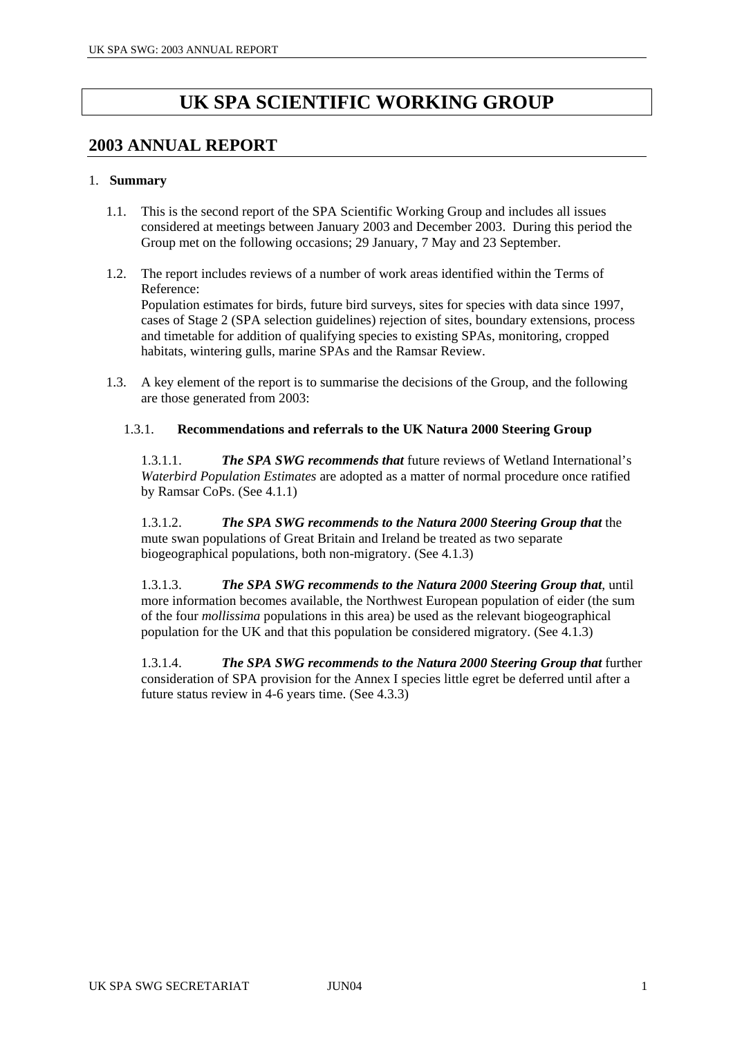# **UK SPA SCIENTIFIC WORKING GROUP**

## **2003 ANNUAL REPORT**

## 1. **Summary**

- 1.1. This is the second report of the SPA Scientific Working Group and includes all issues considered at meetings between January 2003 and December 2003. During this period the Group met on the following occasions; 29 January, 7 May and 23 September.
- 1.2. The report includes reviews of a number of work areas identified within the Terms of Reference: Population estimates for birds, future bird surveys, sites for species with data since 1997, cases of Stage 2 (SPA selection guidelines) rejection of sites, boundary extensions, process and timetable for addition of qualifying species to existing SPAs, monitoring, cropped habitats, wintering gulls, marine SPAs and the Ramsar Review.
- 1.3. A key element of the report is to summarise the decisions of the Group, and the following are those generated from 2003:

## 1.3.1. **Recommendations and referrals to the UK Natura 2000 Steering Group**

1.3.1.1. *The SPA SWG recommends that* future reviews of Wetland International's *Waterbird Population Estimates* are adopted as a matter of normal procedure once ratified by Ramsar CoPs. (See 4.1.1)

1.3.1.2. *The SPA SWG recommends to the Natura 2000 Steering Group that* the mute swan populations of Great Britain and Ireland be treated as two separate biogeographical populations, both non-migratory. (See 4.1.3)

1.3.1.3. *The SPA SWG recommends to the Natura 2000 Steering Group that*, until more information becomes available, the Northwest European population of eider (the sum of the four *mollissima* populations in this area) be used as the relevant biogeographical population for the UK and that this population be considered migratory. (See 4.1.3)

1.3.1.4. *The SPA SWG recommends to the Natura 2000 Steering Group that* further consideration of SPA provision for the Annex I species little egret be deferred until after a future status review in 4-6 years time. (See 4.3.3)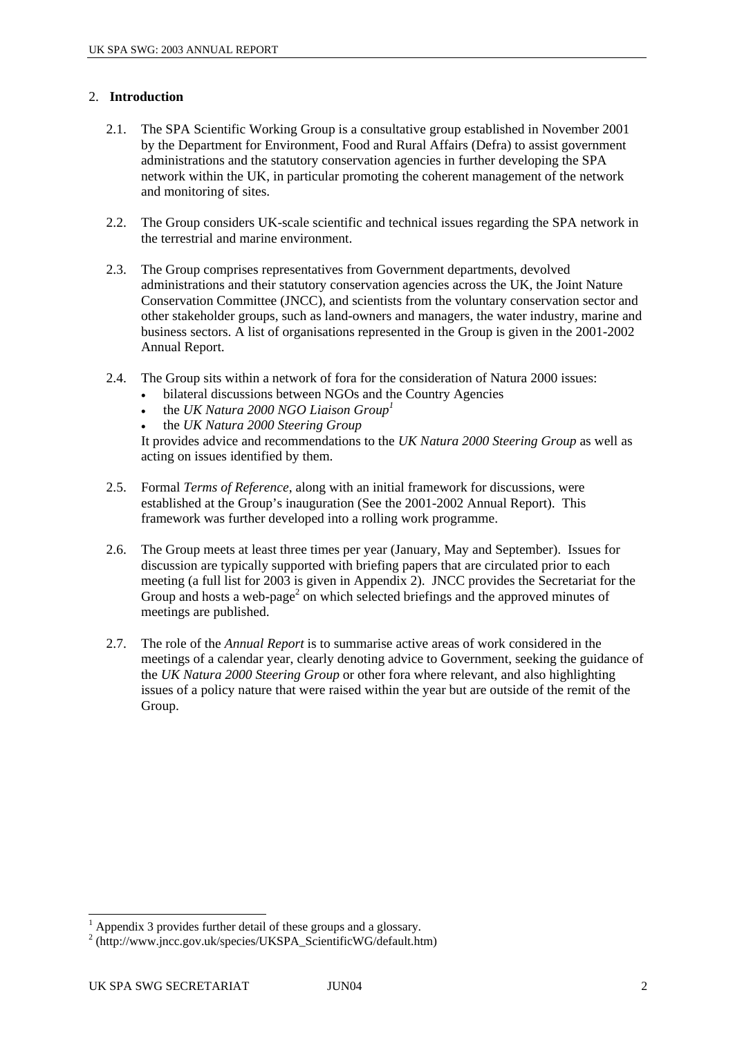## 2. **Introduction**

- 2.1. The SPA Scientific Working Group is a consultative group established in November 2001 by the Department for Environment, Food and Rural Affairs (Defra) to assist government administrations and the statutory conservation agencies in further developing the SPA network within the UK, in particular promoting the coherent management of the network and monitoring of sites.
- 2.2. The Group considers UK-scale scientific and technical issues regarding the SPA network in the terrestrial and marine environment.
- 2.3. The Group comprises representatives from Government departments, devolved administrations and their statutory conservation agencies across the UK, the Joint Nature Conservation Committee (JNCC), and scientists from the voluntary conservation sector and other stakeholder groups, such as land-owners and managers, the water industry, marine and business sectors. A list of organisations represented in the Group is given in the 2001-2002 Annual Report.
- 2.4. The Group sits within a network of fora for the consideration of Natura 2000 issues:
	- bilateral discussions between NGOs and the Country Agencies
	- the *UK Natura 2000 NGO Liaison Group[1](#page-1-0)*
	- the *UK Natura 2000 Steering Group*

It provides advice and recommendations to the *UK Natura 2000 Steering Group* as well as acting on issues identified by them.

- 2.5. Formal *Terms of Reference*, along with an initial framework for discussions, were established at the Group's inauguration (See the 2001-2002 Annual Report). This framework was further developed into a rolling work programme.
- 2.6. The Group meets at least three times per year (January, May and September). Issues for discussion are typically supported with briefing papers that are circulated prior to each meeting (a full list for 2003 is given in Appendix 2). JNCC provides the Secretariat for the Group and hosts a web-page<sup>[2](#page-1-1)</sup> on which selected briefings and the approved minutes of meetings are published.
- 2.7. The role of the *Annual Report* is to summarise active areas of work considered in the meetings of a calendar year, clearly denoting advice to Government, seeking the guidance of the *UK Natura 2000 Steering Group* or other fora where relevant, and also highlighting issues of a policy nature that were raised within the year but are outside of the remit of the Group.

<span id="page-1-0"></span> 1 Appendix 3 provides further detail of these groups and a glossary.

<span id="page-1-1"></span><sup>&</sup>lt;sup>2</sup> (http://www.jncc.gov.uk/species/UKSPA\_ScientificWG/default.htm)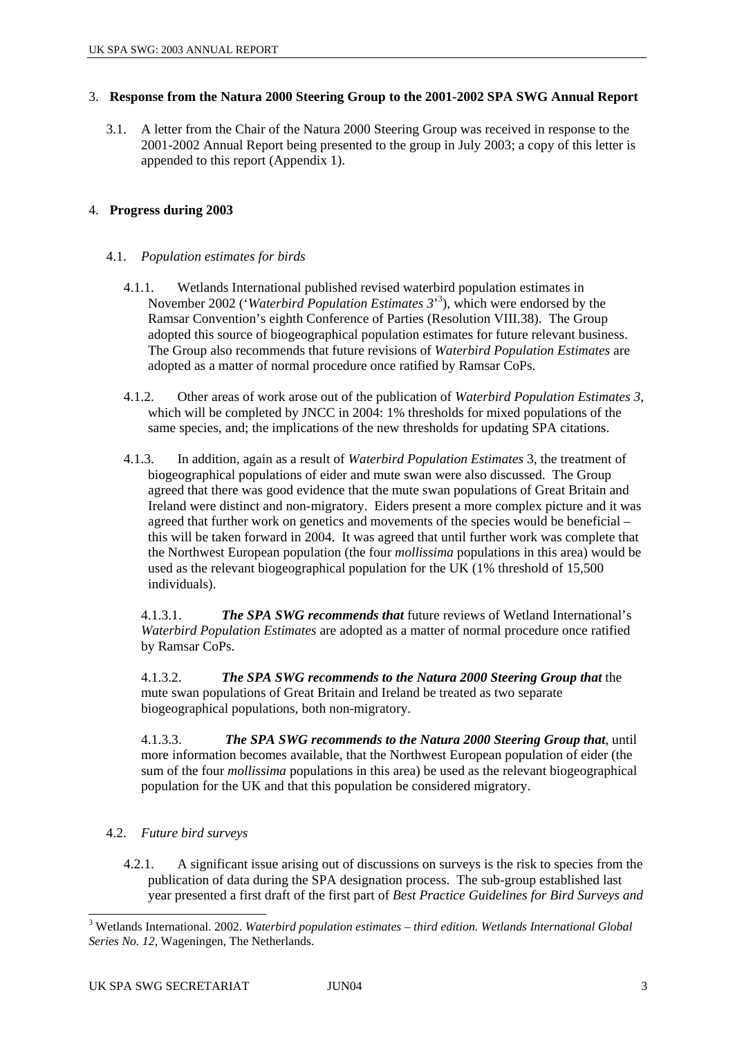## 3. **Response from the Natura 2000 Steering Group to the 2001-2002 SPA SWG Annual Report**

3.1. A letter from the Chair of the Natura 2000 Steering Group was received in response to the 2001-2002 Annual Report being presented to the group in July 2003; a copy of this letter is appended to this report (Appendix 1).

## 4. **Progress during 2003**

## 4.1. *Population estimates for birds*

- 4.1.1. Wetlands International published revised waterbird population estimates in November 2002 ('*Waterbird Population Estimates 3*' 3 [\)](#page-2-0), which were endorsed by the Ramsar Convention's eighth Conference of Parties (Resolution VIII.38). The Group adopted this source of biogeographical population estimates for future relevant business. The Group also recommends that future revisions of *Waterbird Population Estimates* are adopted as a matter of normal procedure once ratified by Ramsar CoPs.
- 4.1.2. Other areas of work arose out of the publication of *Waterbird Population Estimates 3*, which will be completed by JNCC in 2004: 1% thresholds for mixed populations of the same species, and; the implications of the new thresholds for updating SPA citations.
- 4.1.3. In addition, again as a result of *Waterbird Population Estimates* 3, the treatment of biogeographical populations of eider and mute swan were also discussed. The Group agreed that there was good evidence that the mute swan populations of Great Britain and Ireland were distinct and non-migratory. Eiders present a more complex picture and it was agreed that further work on genetics and movements of the species would be beneficial – this will be taken forward in 2004. It was agreed that until further work was complete that the Northwest European population (the four *mollissima* populations in this area) would be used as the relevant biogeographical population for the UK (1% threshold of 15,500 individuals).

4.1.3.1. *The SPA SWG recommends that* future reviews of Wetland International's *Waterbird Population Estimates* are adopted as a matter of normal procedure once ratified by Ramsar CoPs.

4.1.3.2. *The SPA SWG recommends to the Natura 2000 Steering Group that* the mute swan populations of Great Britain and Ireland be treated as two separate biogeographical populations, both non-migratory.

4.1.3.3. *The SPA SWG recommends to the Natura 2000 Steering Group that*, until more information becomes available, that the Northwest European population of eider (the sum of the four *mollissima* populations in this area) be used as the relevant biogeographical population for the UK and that this population be considered migratory.

- 4.2. *Future bird surveys* 
	- 4.2.1. A significant issue arising out of discussions on surveys is the risk to species from the publication of data during the SPA designation process. The sub-group established last year presented a first draft of the first part of *Best Practice Guidelines for Bird Surveys and*

<span id="page-2-0"></span> 3 Wetlands International. 2002. *Waterbird population estimates – third edition. Wetlands International Global Series No. 12*, Wageningen, The Netherlands.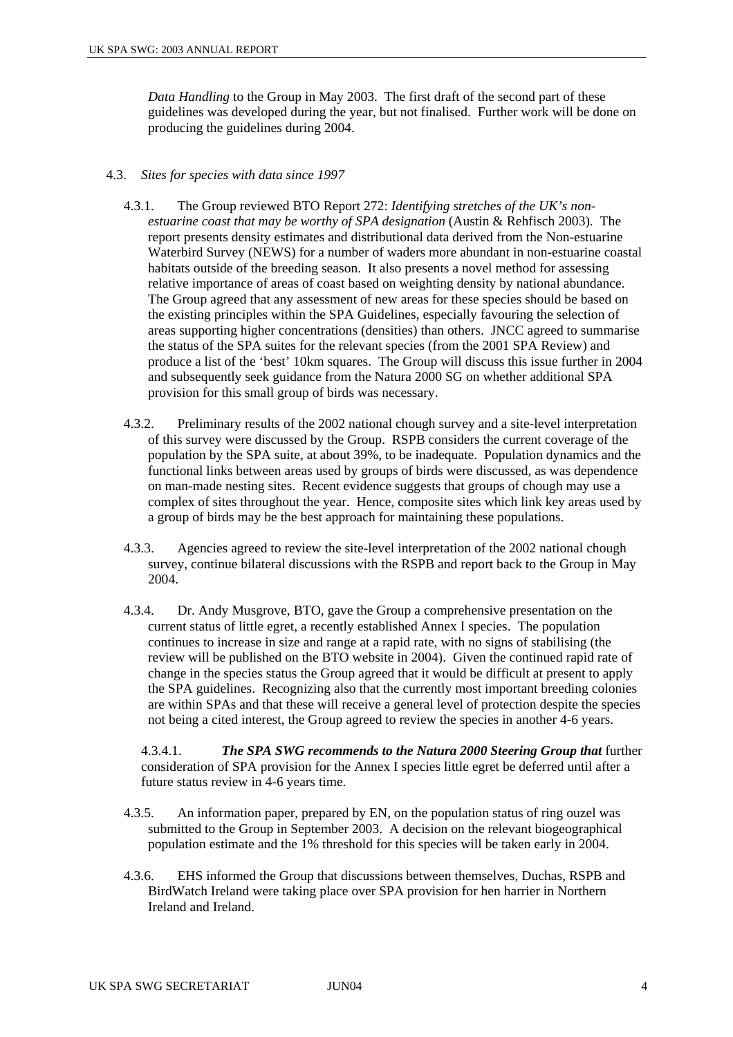*Data Handling* to the Group in May 2003. The first draft of the second part of these guidelines was developed during the year, but not finalised. Further work will be done on producing the guidelines during 2004.

#### 4.3. *Sites for species with data since 1997*

- 4.3.1. The Group reviewed BTO Report 272: *Identifying stretches of the UK's nonestuarine coast that may be worthy of SPA designation* (Austin & Rehfisch 2003). The report presents density estimates and distributional data derived from the Non-estuarine Waterbird Survey (NEWS) for a number of waders more abundant in non-estuarine coastal habitats outside of the breeding season. It also presents a novel method for assessing relative importance of areas of coast based on weighting density by national abundance. The Group agreed that any assessment of new areas for these species should be based on the existing principles within the SPA Guidelines, especially favouring the selection of areas supporting higher concentrations (densities) than others. JNCC agreed to summarise the status of the SPA suites for the relevant species (from the 2001 SPA Review) and produce a list of the 'best' 10km squares. The Group will discuss this issue further in 2004 and subsequently seek guidance from the Natura 2000 SG on whether additional SPA provision for this small group of birds was necessary.
- 4.3.2. Preliminary results of the 2002 national chough survey and a site-level interpretation of this survey were discussed by the Group. RSPB considers the current coverage of the population by the SPA suite, at about 39%, to be inadequate. Population dynamics and the functional links between areas used by groups of birds were discussed, as was dependence on man-made nesting sites. Recent evidence suggests that groups of chough may use a complex of sites throughout the year. Hence, composite sites which link key areas used by a group of birds may be the best approach for maintaining these populations.
- 4.3.3. Agencies agreed to review the site-level interpretation of the 2002 national chough survey, continue bilateral discussions with the RSPB and report back to the Group in May 2004.
- 4.3.4. Dr. Andy Musgrove, BTO, gave the Group a comprehensive presentation on the current status of little egret, a recently established Annex I species. The population continues to increase in size and range at a rapid rate, with no signs of stabilising (the review will be published on the BTO website in 2004). Given the continued rapid rate of change in the species status the Group agreed that it would be difficult at present to apply the SPA guidelines. Recognizing also that the currently most important breeding colonies are within SPAs and that these will receive a general level of protection despite the species not being a cited interest, the Group agreed to review the species in another 4-6 years.

4.3.4.1. *The SPA SWG recommends to the Natura 2000 Steering Group that* further consideration of SPA provision for the Annex I species little egret be deferred until after a future status review in 4-6 years time.

- 4.3.5. An information paper, prepared by EN, on the population status of ring ouzel was submitted to the Group in September 2003. A decision on the relevant biogeographical population estimate and the 1% threshold for this species will be taken early in 2004.
- 4.3.6. EHS informed the Group that discussions between themselves, Duchas, RSPB and BirdWatch Ireland were taking place over SPA provision for hen harrier in Northern Ireland and Ireland.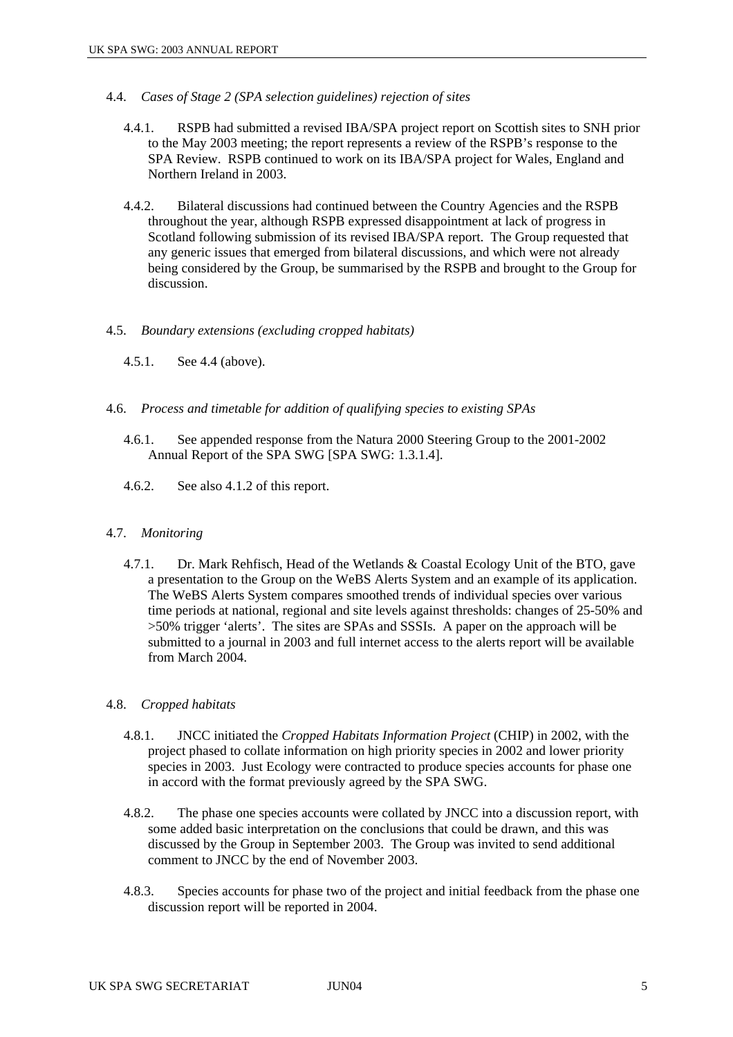- 4.4. *Cases of Stage 2 (SPA selection guidelines) rejection of sites* 
	- 4.4.1. RSPB had submitted a revised IBA/SPA project report on Scottish sites to SNH prior to the May 2003 meeting; the report represents a review of the RSPB's response to the SPA Review. RSPB continued to work on its IBA/SPA project for Wales, England and Northern Ireland in 2003.
	- 4.4.2. Bilateral discussions had continued between the Country Agencies and the RSPB throughout the year, although RSPB expressed disappointment at lack of progress in Scotland following submission of its revised IBA/SPA report. The Group requested that any generic issues that emerged from bilateral discussions, and which were not already being considered by the Group, be summarised by the RSPB and brought to the Group for discussion.

#### 4.5. *Boundary extensions (excluding cropped habitats)*

- 4.5.1. See 4.4 (above).
- 4.6. *Process and timetable for addition of qualifying species to existing SPAs* 
	- 4.6.1. See appended response from the Natura 2000 Steering Group to the 2001-2002 Annual Report of the SPA SWG [SPA SWG: 1.3.1.4].
	- 4.6.2. See also 4.1.2 of this report.

#### 4.7. *Monitoring*

4.7.1. Dr. Mark Rehfisch, Head of the Wetlands & Coastal Ecology Unit of the BTO, gave a presentation to the Group on the WeBS Alerts System and an example of its application. The WeBS Alerts System compares smoothed trends of individual species over various time periods at national, regional and site levels against thresholds: changes of 25-50% and >50% trigger 'alerts'. The sites are SPAs and SSSIs. A paper on the approach will be submitted to a journal in 2003 and full internet access to the alerts report will be available from March 2004.

#### 4.8. *Cropped habitats*

- 4.8.1. JNCC initiated the *Cropped Habitats Information Project* (CHIP) in 2002, with the project phased to collate information on high priority species in 2002 and lower priority species in 2003. Just Ecology were contracted to produce species accounts for phase one in accord with the format previously agreed by the SPA SWG.
- 4.8.2. The phase one species accounts were collated by JNCC into a discussion report, with some added basic interpretation on the conclusions that could be drawn, and this was discussed by the Group in September 2003. The Group was invited to send additional comment to JNCC by the end of November 2003.
- 4.8.3. Species accounts for phase two of the project and initial feedback from the phase one discussion report will be reported in 2004.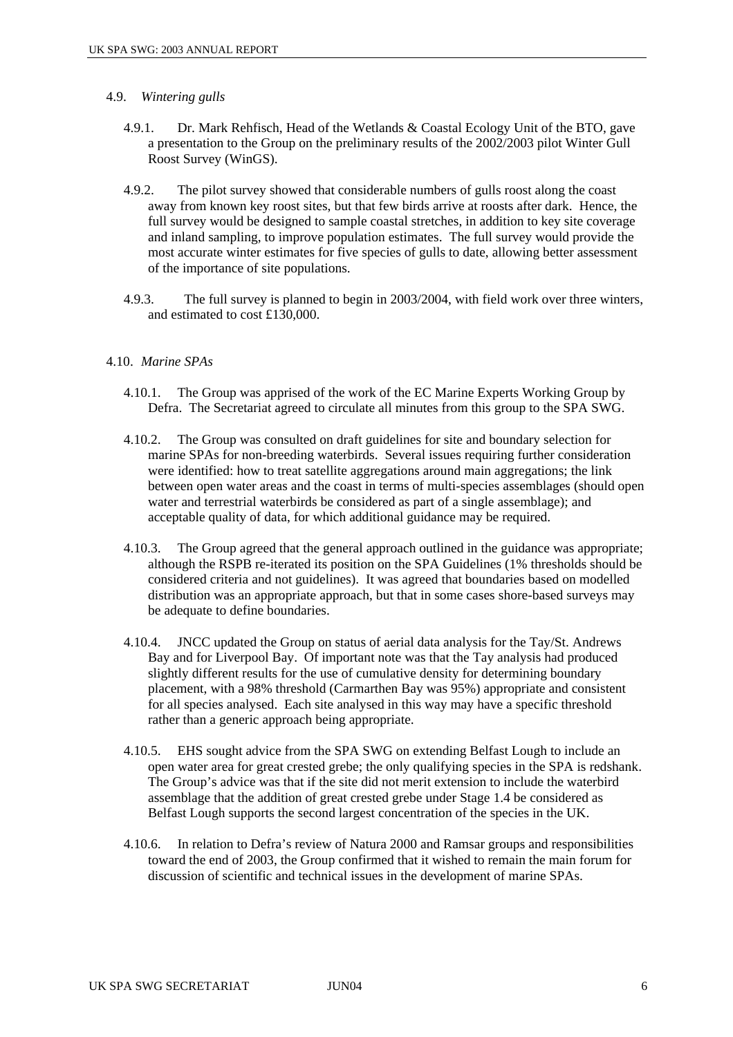#### 4.9. *Wintering gulls*

- 4.9.1. Dr. Mark Rehfisch, Head of the Wetlands & Coastal Ecology Unit of the BTO, gave a presentation to the Group on the preliminary results of the 2002/2003 pilot Winter Gull Roost Survey (WinGS).
- 4.9.2. The pilot survey showed that considerable numbers of gulls roost along the coast away from known key roost sites, but that few birds arrive at roosts after dark. Hence, the full survey would be designed to sample coastal stretches, in addition to key site coverage and inland sampling, to improve population estimates. The full survey would provide the most accurate winter estimates for five species of gulls to date, allowing better assessment of the importance of site populations.
- 4.9.3. The full survey is planned to begin in 2003/2004, with field work over three winters, and estimated to cost £130,000.

#### 4.10. *Marine SPAs*

- 4.10.1. The Group was apprised of the work of the EC Marine Experts Working Group by Defra. The Secretariat agreed to circulate all minutes from this group to the SPA SWG.
- 4.10.2. The Group was consulted on draft guidelines for site and boundary selection for marine SPAs for non-breeding waterbirds. Several issues requiring further consideration were identified: how to treat satellite aggregations around main aggregations; the link between open water areas and the coast in terms of multi-species assemblages (should open water and terrestrial waterbirds be considered as part of a single assemblage); and acceptable quality of data, for which additional guidance may be required.
- 4.10.3. The Group agreed that the general approach outlined in the guidance was appropriate; although the RSPB re-iterated its position on the SPA Guidelines (1% thresholds should be considered criteria and not guidelines). It was agreed that boundaries based on modelled distribution was an appropriate approach, but that in some cases shore-based surveys may be adequate to define boundaries.
- 4.10.4. JNCC updated the Group on status of aerial data analysis for the Tay/St. Andrews Bay and for Liverpool Bay. Of important note was that the Tay analysis had produced slightly different results for the use of cumulative density for determining boundary placement, with a 98% threshold (Carmarthen Bay was 95%) appropriate and consistent for all species analysed. Each site analysed in this way may have a specific threshold rather than a generic approach being appropriate.
- 4.10.5. EHS sought advice from the SPA SWG on extending Belfast Lough to include an open water area for great crested grebe; the only qualifying species in the SPA is redshank. The Group's advice was that if the site did not merit extension to include the waterbird assemblage that the addition of great crested grebe under Stage 1.4 be considered as Belfast Lough supports the second largest concentration of the species in the UK.
- 4.10.6. In relation to Defra's review of Natura 2000 and Ramsar groups and responsibilities toward the end of 2003, the Group confirmed that it wished to remain the main forum for discussion of scientific and technical issues in the development of marine SPAs.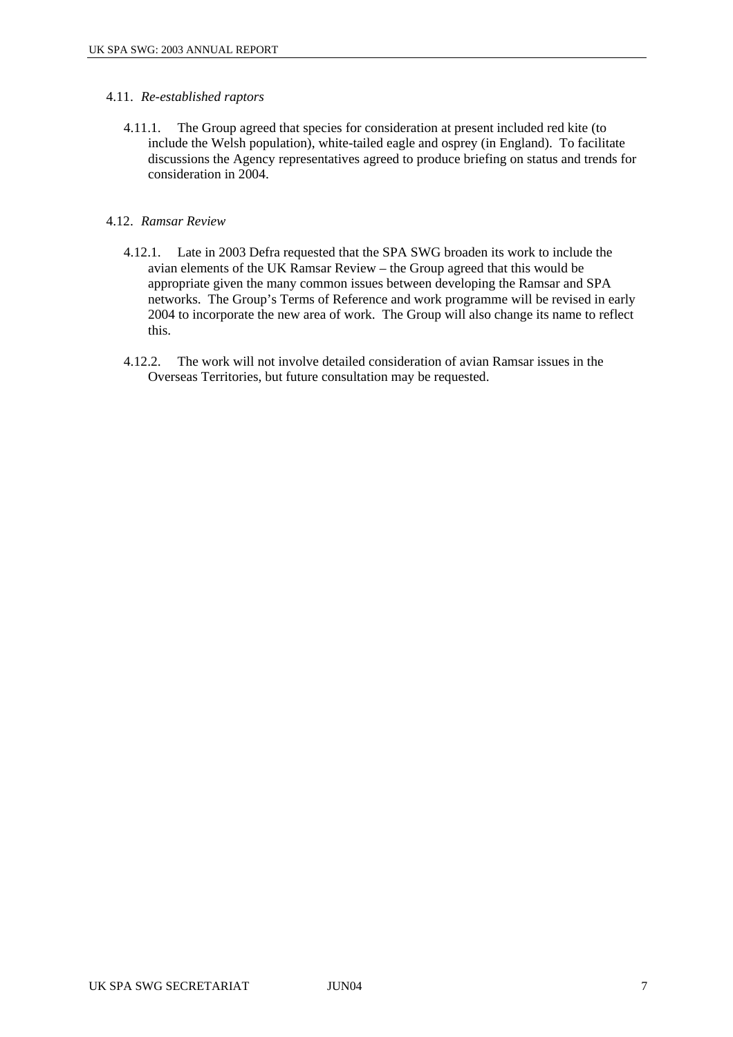#### 4.11. *Re-established raptors*

4.11.1. The Group agreed that species for consideration at present included red kite (to include the Welsh population), white-tailed eagle and osprey (in England). To facilitate discussions the Agency representatives agreed to produce briefing on status and trends for consideration in 2004.

#### 4.12. *Ramsar Review*

- 4.12.1. Late in 2003 Defra requested that the SPA SWG broaden its work to include the avian elements of the UK Ramsar Review – the Group agreed that this would be appropriate given the many common issues between developing the Ramsar and SPA networks. The Group's Terms of Reference and work programme will be revised in early 2004 to incorporate the new area of work. The Group will also change its name to reflect this.
- 4.12.2. The work will not involve detailed consideration of avian Ramsar issues in the Overseas Territories, but future consultation may be requested.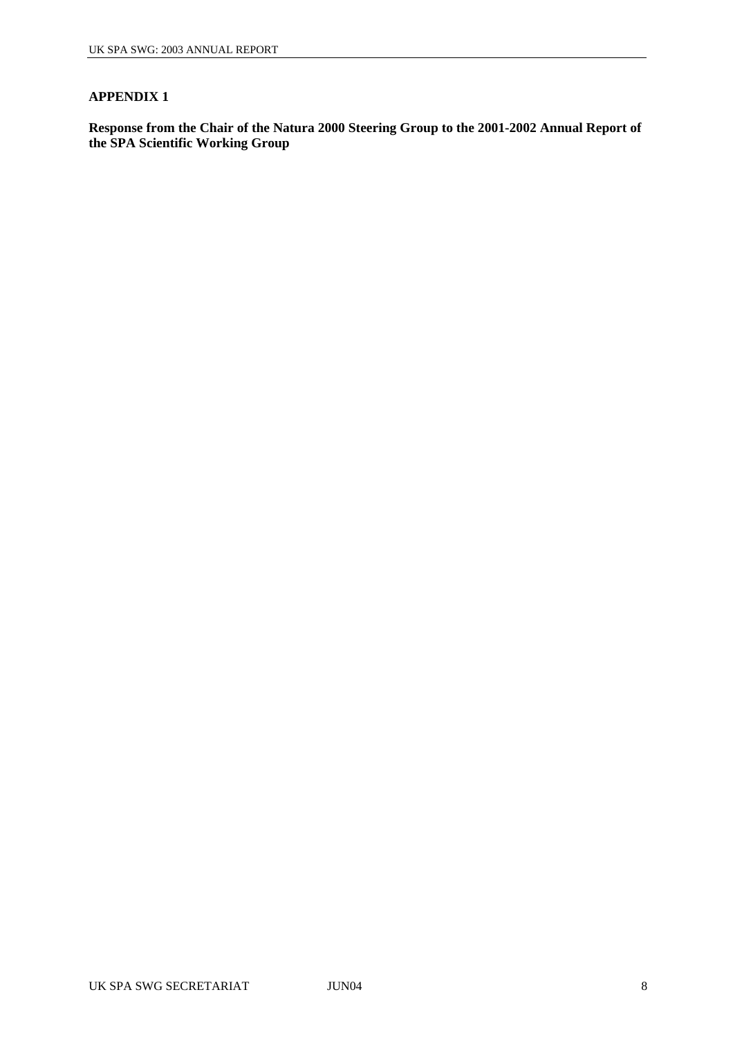#### **APPENDIX 1**

**Response from the Chair of the Natura 2000 Steering Group to the 2001-2002 Annual Report of the SPA Scientific Working Group**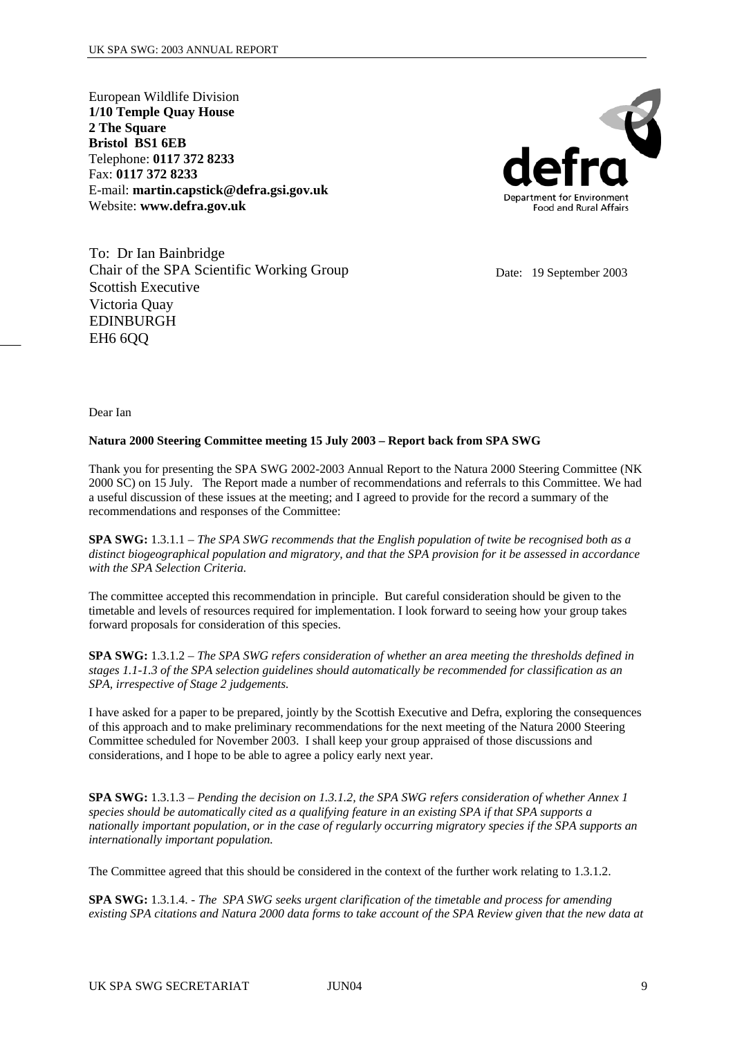European Wildlife Division **1/10 Temple Quay House 2 The Square Bristol BS1 6EB** Telephone: **0117 372 8233**  Fax: **0117 372 8233**  E-mail: **martin.capstick@defra.gsi.gov.uk**  Website: **www.defra.gov.uk**



To: Dr Ian Bainbridge Chair of the SPA Scientific Working Group Scottish Executive Victoria Quay EDINBURGH EH<sub>6</sub> 6O<sub>O</sub>

Date: 19 September 2003

Dear Ian

#### **Natura 2000 Steering Committee meeting 15 July 2003 – Report back from SPA SWG**

Thank you for presenting the SPA SWG 2002-2003 Annual Report to the Natura 2000 Steering Committee (NK 2000 SC) on 15 July. The Report made a number of recommendations and referrals to this Committee. We had a useful discussion of these issues at the meeting; and I agreed to provide for the record a summary of the recommendations and responses of the Committee:

**SPA SWG:** 1.3.1.1 – *The SPA SWG recommends that the English population of twite be recognised both as a distinct biogeographical population and migratory, and that the SPA provision for it be assessed in accordance with the SPA Selection Criteria.* 

The committee accepted this recommendation in principle. But careful consideration should be given to the timetable and levels of resources required for implementation. I look forward to seeing how your group takes forward proposals for consideration of this species.

**SPA SWG:** 1.3.1.2 – *The SPA SWG refers consideration of whether an area meeting the thresholds defined in stages 1.1-1.3 of the SPA selection guidelines should automatically be recommended for classification as an SPA, irrespective of Stage 2 judgements.* 

I have asked for a paper to be prepared, jointly by the Scottish Executive and Defra, exploring the consequences of this approach and to make preliminary recommendations for the next meeting of the Natura 2000 Steering Committee scheduled for November 2003. I shall keep your group appraised of those discussions and considerations, and I hope to be able to agree a policy early next year.

**SPA SWG:** 1.3.1.3 – *Pending the decision on 1.3.1.2, the SPA SWG refers consideration of whether Annex 1 species should be automatically cited as a qualifying feature in an existing SPA if that SPA supports a nationally important population, or in the case of regularly occurring migratory species if the SPA supports an internationally important population.* 

The Committee agreed that this should be considered in the context of the further work relating to 1.3.1.2.

**SPA SWG:** 1.3.1.4. - *The SPA SWG seeks urgent clarification of the timetable and process for amending existing SPA citations and Natura 2000 data forms to take account of the SPA Review given that the new data at*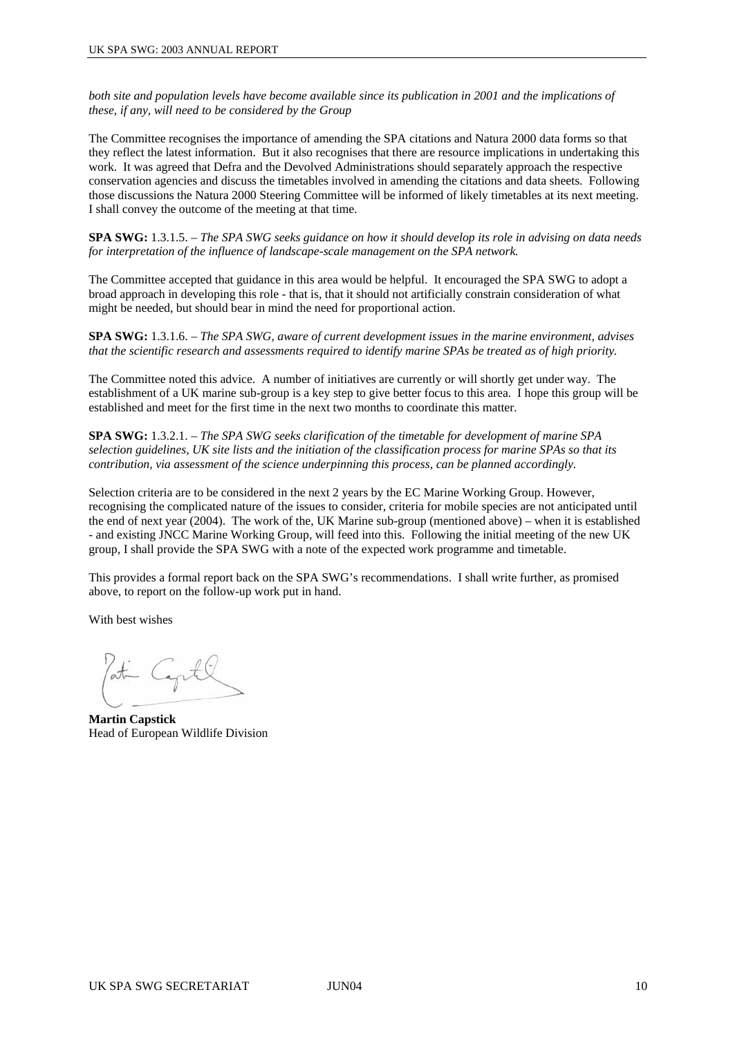*both site and population levels have become available since its publication in 2001 and the implications of these, if any, will need to be considered by the Group* 

The Committee recognises the importance of amending the SPA citations and Natura 2000 data forms so that they reflect the latest information. But it also recognises that there are resource implications in undertaking this work. It was agreed that Defra and the Devolved Administrations should separately approach the respective conservation agencies and discuss the timetables involved in amending the citations and data sheets. Following those discussions the Natura 2000 Steering Committee will be informed of likely timetables at its next meeting. I shall convey the outcome of the meeting at that time.

**SPA SWG:** 1.3.1.5. – *The SPA SWG seeks guidance on how it should develop its role in advising on data needs for interpretation of the influence of landscape-scale management on the SPA network.* 

The Committee accepted that guidance in this area would be helpful. It encouraged the SPA SWG to adopt a broad approach in developing this role - that is, that it should not artificially constrain consideration of what might be needed, but should bear in mind the need for proportional action.

**SPA SWG:** 1.3.1.6. – *The SPA SWG, aware of current development issues in the marine environment, advises that the scientific research and assessments required to identify marine SPAs be treated as of high priority.* 

The Committee noted this advice. A number of initiatives are currently or will shortly get under way. The establishment of a UK marine sub-group is a key step to give better focus to this area. I hope this group will be established and meet for the first time in the next two months to coordinate this matter.

**SPA SWG:** 1.3.2.1. – *The SPA SWG seeks clarification of the timetable for development of marine SPA selection guidelines, UK site lists and the initiation of the classification process for marine SPAs so that its contribution, via assessment of the science underpinning this process, can be planned accordingly.*

Selection criteria are to be considered in the next 2 years by the EC Marine Working Group. However, recognising the complicated nature of the issues to consider, criteria for mobile species are not anticipated until the end of next year (2004). The work of the, UK Marine sub-group (mentioned above) – when it is established - and existing JNCC Marine Working Group, will feed into this. Following the initial meeting of the new UK group, I shall provide the SPA SWG with a note of the expected work programme and timetable.

This provides a formal report back on the SPA SWG's recommendations. I shall write further, as promised above, to report on the follow-up work put in hand.

With best wishes

**Martin Capstick** Head of European Wildlife Division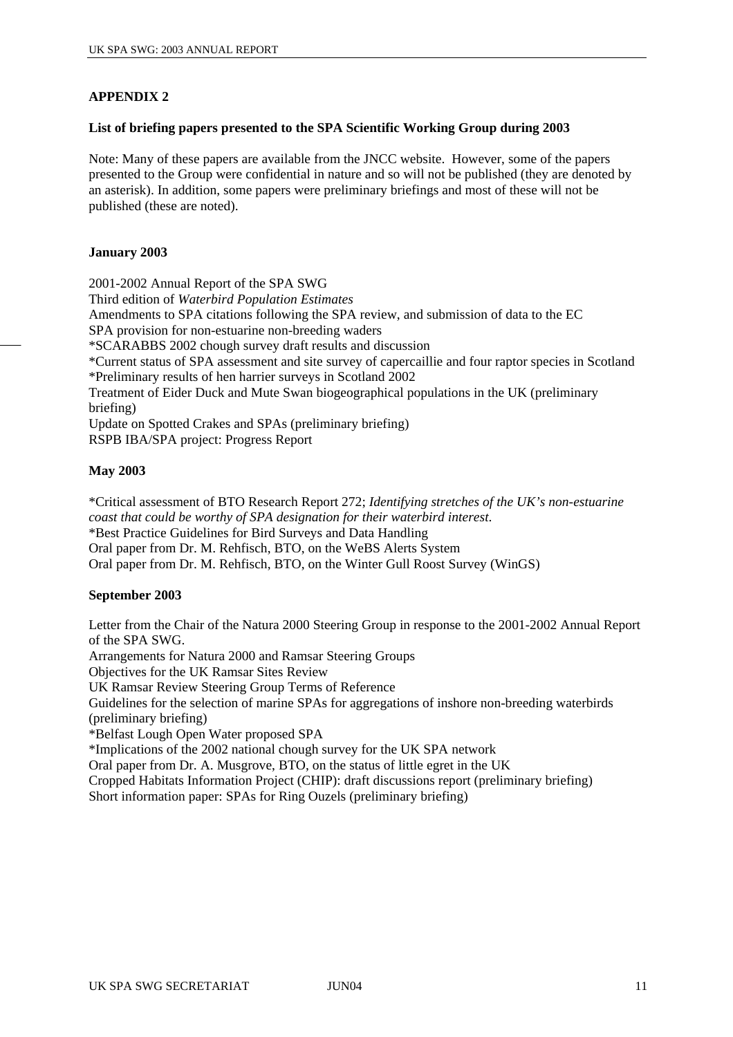## **APPENDIX 2**

#### **List of briefing papers presented to the SPA Scientific Working Group during 2003**

Note: Many of these papers are available from the JNCC website. However, some of the papers presented to the Group were confidential in nature and so will not be published (they are denoted by an asterisk). In addition, some papers were preliminary briefings and most of these will not be published (these are noted).

#### **January 2003**

2001-2002 Annual Report of the SPA SWG Third edition of *Waterbird Population Estimates* Amendments to SPA citations following the SPA review, and submission of data to the EC SPA provision for non-estuarine non-breeding waders \*SCARABBS 2002 chough survey draft results and discussion \*Current status of SPA assessment and site survey of capercaillie and four raptor species in Scotland \*Preliminary results of hen harrier surveys in Scotland 2002 Treatment of Eider Duck and Mute Swan biogeographical populations in the UK (preliminary briefing) Update on Spotted Crakes and SPAs (preliminary briefing) RSPB IBA/SPA project: Progress Report

## **May 2003**

\*Critical assessment of BTO Research Report 272; *Identifying stretches of the UK's non-estuarine coast that could be worthy of SPA designation for their waterbird interest*. \*Best Practice Guidelines for Bird Surveys and Data Handling Oral paper from Dr. M. Rehfisch, BTO, on the WeBS Alerts System Oral paper from Dr. M. Rehfisch, BTO, on the Winter Gull Roost Survey (WinGS)

## **September 2003**

Letter from the Chair of the Natura 2000 Steering Group in response to the 2001-2002 Annual Report of the SPA SWG.

Arrangements for Natura 2000 and Ramsar Steering Groups

Objectives for the UK Ramsar Sites Review

UK Ramsar Review Steering Group Terms of Reference

Guidelines for the selection of marine SPAs for aggregations of inshore non-breeding waterbirds (preliminary briefing)

\*Belfast Lough Open Water proposed SPA

\*Implications of the 2002 national chough survey for the UK SPA network

Oral paper from Dr. A. Musgrove, BTO, on the status of little egret in the UK

Cropped Habitats Information Project (CHIP): draft discussions report (preliminary briefing)

Short information paper: SPAs for Ring Ouzels (preliminary briefing)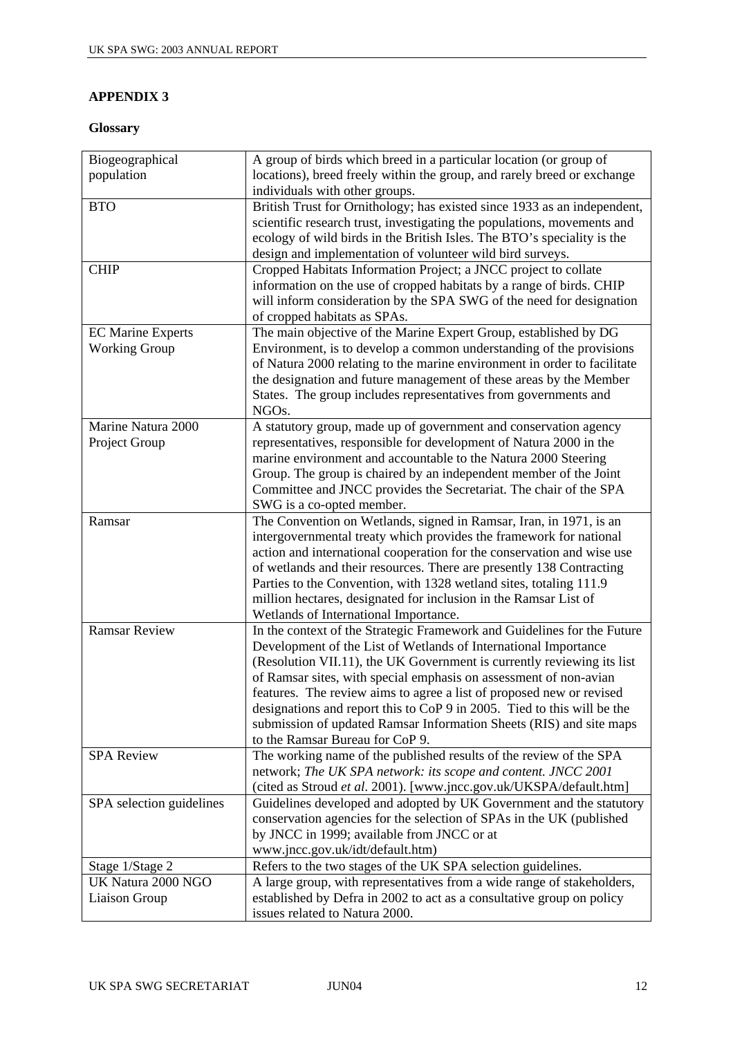## **APPENDIX 3**

## **Glossary**

| Biogeographical          | A group of birds which breed in a particular location (or group of       |
|--------------------------|--------------------------------------------------------------------------|
| population               | locations), breed freely within the group, and rarely breed or exchange  |
|                          | individuals with other groups.                                           |
| <b>BTO</b>               | British Trust for Ornithology; has existed since 1933 as an independent, |
|                          | scientific research trust, investigating the populations, movements and  |
|                          | ecology of wild birds in the British Isles. The BTO's speciality is the  |
|                          | design and implementation of volunteer wild bird surveys.                |
| <b>CHIP</b>              | Cropped Habitats Information Project; a JNCC project to collate          |
|                          | information on the use of cropped habitats by a range of birds. CHIP     |
|                          | will inform consideration by the SPA SWG of the need for designation     |
|                          | of cropped habitats as SPAs.                                             |
| <b>EC Marine Experts</b> | The main objective of the Marine Expert Group, established by DG         |
| <b>Working Group</b>     | Environment, is to develop a common understanding of the provisions      |
|                          | of Natura 2000 relating to the marine environment in order to facilitate |
|                          | the designation and future management of these areas by the Member       |
|                          | States. The group includes representatives from governments and          |
|                          | NGO <sub>s</sub> .                                                       |
| Marine Natura 2000       | A statutory group, made up of government and conservation agency         |
| Project Group            | representatives, responsible for development of Natura 2000 in the       |
|                          | marine environment and accountable to the Natura 2000 Steering           |
|                          | Group. The group is chaired by an independent member of the Joint        |
|                          | Committee and JNCC provides the Secretariat. The chair of the SPA        |
|                          | SWG is a co-opted member.                                                |
| Ramsar                   | The Convention on Wetlands, signed in Ramsar, Iran, in 1971, is an       |
|                          | intergovernmental treaty which provides the framework for national       |
|                          | action and international cooperation for the conservation and wise use   |
|                          | of wetlands and their resources. There are presently 138 Contracting     |
|                          | Parties to the Convention, with 1328 wetland sites, totaling 111.9       |
|                          | million hectares, designated for inclusion in the Ramsar List of         |
|                          | Wetlands of International Importance.                                    |
| <b>Ramsar Review</b>     | In the context of the Strategic Framework and Guidelines for the Future  |
|                          | Development of the List of Wetlands of International Importance          |
|                          | (Resolution VII.11), the UK Government is currently reviewing its list   |
|                          | of Ramsar sites, with special emphasis on assessment of non-avian        |
|                          | features. The review aims to agree a list of proposed new or revised     |
|                          | designations and report this to CoP 9 in 2005. Tied to this will be the  |
|                          | submission of updated Ramsar Information Sheets (RIS) and site maps      |
|                          | to the Ramsar Bureau for CoP 9.                                          |
| <b>SPA Review</b>        | The working name of the published results of the review of the SPA       |
|                          | network; The UK SPA network: its scope and content. JNCC 2001            |
|                          | (cited as Stroud et al. 2001). [www.jncc.gov.uk/UKSPA/default.htm]       |
| SPA selection guidelines | Guidelines developed and adopted by UK Government and the statutory      |
|                          | conservation agencies for the selection of SPAs in the UK (published     |
|                          | by JNCC in 1999; available from JNCC or at                               |
|                          | www.jncc.gov.uk/idt/default.htm)                                         |
| Stage 1/Stage 2          | Refers to the two stages of the UK SPA selection guidelines.             |
| UK Natura 2000 NGO       | A large group, with representatives from a wide range of stakeholders,   |
| Liaison Group            | established by Defra in 2002 to act as a consultative group on policy    |
|                          | issues related to Natura 2000.                                           |
|                          |                                                                          |